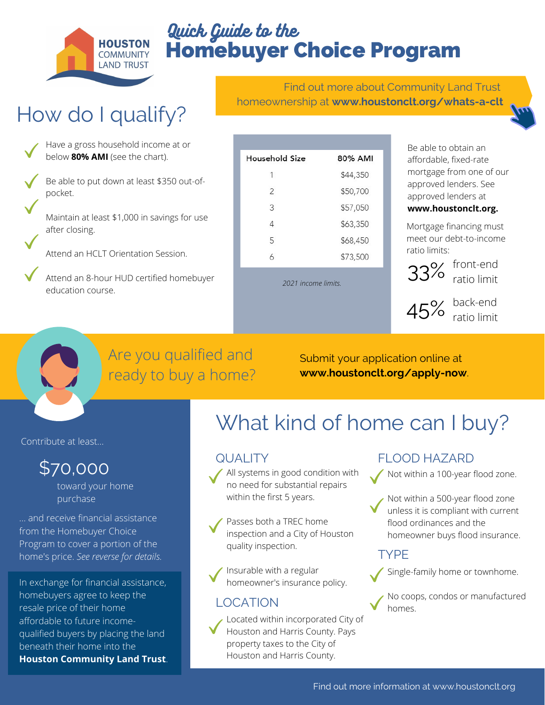

# Homebuyer Choice Program Quick Guide to the

# How do I qualify?

Have a gross household income at or below **80% AMI** (see the chart).

Be able to put down at least \$350 out-ofpocket.

Maintain at least \$1,000 in savings for use after closing.

Attend an HCLT Orientation Session.

Attend an 8-hour HUD certified homebuyer education course.

|                                                 |  | Find out more about Community Land Trust |  |
|-------------------------------------------------|--|------------------------------------------|--|
| homeownership at www.houstonclt.org/whats-a-clt |  |                                          |  |

| Household Size | 80% AMI  |  |  |
|----------------|----------|--|--|
| $\mathbf{1}$   | \$44,350 |  |  |
| 2              | \$50,700 |  |  |
| 3              | \$57,050 |  |  |
| 4              | \$63,350 |  |  |
| 5              | \$68,450 |  |  |
| 6              | \$73,500 |  |  |
|                |          |  |  |

*2021 income limits.*

Be able to obtain an affordable, fixed-rate mortgage from one of our approved lenders. See approved lenders at **www.houstonclt.org.**

Mortgage financing must meet our debt-to-income ratio limits:



 $33\%$  front-end ratio limit



 $45\%$  back-end<br>ratio limit ratio limit

## Are you qualified and ready to buy a home?

Submit your application online at **www.houstonclt.org/apply-now**.

Contribute at least...

# \$70,000

toward your home purchase

... and receive financial assistance from the Homebuyer Choice Program to cover a portion of the home's price. *See reverse for details.*

In exchange for financial assistance, homebuyers agree to keep the resale price of their home affordable to future incomequalified buyers by placing the land beneath their home into the **Houston Community Land Trust**.

# What kind of home can I buy?

All systems in good condition with no need for substantial repairs within the first 5 years.

Passes both a TREC home inspection and a City of Houston quality inspection.

Insurable with a regular homeowner's insurance policy.

### LOCATION



Located within incorporated City of Houston and Harris County. Pays property taxes to the City of Houston and Harris County.

### QUALITY FLOOD HAZARD

Not within a 100-year flood zone.

Not within a 500-year flood zone unless it is compliant with current flood ordinances and the homeowner buys flood insurance.

### TYPE



Single-family home or townhome.

No coops, condos or manufactured homes.